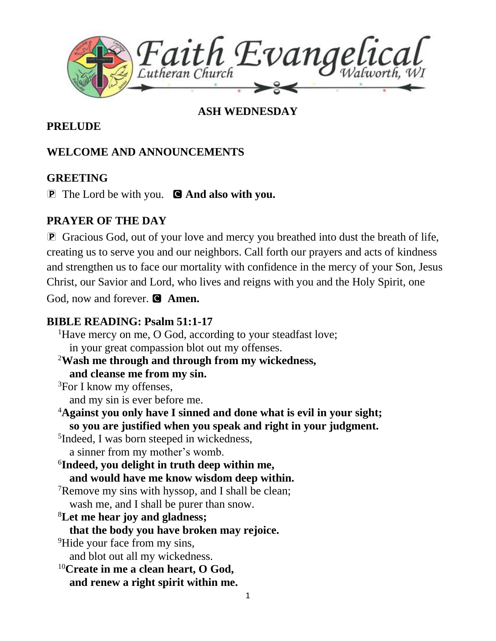

### **ASH WEDNESDAY**

#### **PRELUDE**

### **WELCOME AND ANNOUNCEMENTS**

#### **GREETING**

P The Lord be with you. C **And also with you.**

#### **PRAYER OF THE DAY**

P Gracious God, out of your love and mercy you breathed into dust the breath of life, creating us to serve you and our neighbors. Call forth our prayers and acts of kindness and strengthen us to face our mortality with confidence in the mercy of your Son, Jesus Christ, our Savior and Lord, who lives and reigns with you and the Holy Spirit, one God, now and forever. **C** Amen.

#### **BIBLE READING: Psalm 51:1-17**

1 <sup>1</sup>Have mercy on me, O God, according to your steadfast love; in your great compassion blot out my offenses. <sup>2</sup>**Wash me through and through from my wickedness, and cleanse me from my sin.**  ${}^{3}$ For I know my offenses, and my sin is ever before me. <sup>4</sup>**Against you only have I sinned and done what is evil in your sight; so you are justified when you speak and right in your judgment.** 5 Indeed, I was born steeped in wickedness, a sinner from my mother's womb. 6 **Indeed, you delight in truth deep within me, and would have me know wisdom deep within.** <sup>7</sup>Remove my sins with hyssop, and I shall be clean; wash me, and I shall be purer than snow. <sup>8</sup>**Let me hear joy and gladness; that the body you have broken may rejoice.** <sup>9</sup>Hide your face from my sins, and blot out all my wickedness. <sup>10</sup>**Create in me a clean heart, O God, and renew a right spirit within me.**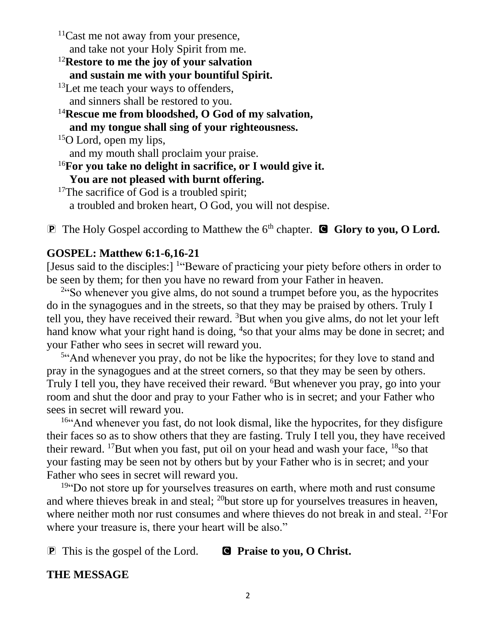$11$ Cast me not away from your presence, and take not your Holy Spirit from me.

<sup>12</sup>**Restore to me the joy of your salvation and sustain me with your bountiful Spirit.**

- <sup>13</sup>Let me teach your ways to offenders, and sinners shall be restored to you.
- <sup>14</sup>**Rescue me from bloodshed, O God of my salvation, and my tongue shall sing of your righteousness.** <sup>15</sup>O Lord, open my lips,
	-

and my mouth shall proclaim your praise.

<sup>16</sup>**For you take no delight in sacrifice, or I would give it.**

**You are not pleased with burnt offering.**

<sup>17</sup>The sacrifice of God is a troubled spirit; a troubled and broken heart, O God, you will not despise.

**P** The Holy Gospel according to Matthew the 6<sup>th</sup> chapter. **C** Glory to you, O Lord.

## **GOSPEL: Matthew 6:1-6,16-21**

[Jesus said to the disciples:] <sup>1</sup>"Beware of practicing your piety before others in order to be seen by them; for then you have no reward from your Father in heaven.

<sup>2"</sup>So whenever you give alms, do not sound a trumpet before you, as the hypocrites do in the synagogues and in the streets, so that they may be praised by others. Truly I tell you, they have received their reward. <sup>3</sup>But when you give alms, do not let your left hand know what your right hand is doing, <sup>4</sup>so that your alms may be done in secret; and your Father who sees in secret will reward you.

<sup>5"</sup>And whenever you pray, do not be like the hypocrites; for they love to stand and pray in the synagogues and at the street corners, so that they may be seen by others. Truly I tell you, they have received their reward. <sup>6</sup>But whenever you pray, go into your room and shut the door and pray to your Father who is in secret; and your Father who sees in secret will reward you.

<sup>16"</sup>And whenever you fast, do not look dismal, like the hypocrites, for they disfigure their faces so as to show others that they are fasting. Truly I tell you, they have received their reward. <sup>17</sup>But when you fast, put oil on your head and wash your face,  $18$ so that your fasting may be seen not by others but by your Father who is in secret; and your Father who sees in secret will reward you.

<sup>19"</sup>Do not store up for yourselves treasures on earth, where moth and rust consume and where thieves break in and steal; <sup>20</sup>but store up for yourselves treasures in heaven, where neither moth nor rust consumes and where thieves do not break in and steal. <sup>21</sup>For where your treasure is, there your heart will be also."

**P** This is the gospel of the Lord. **C** Praise to you, O Christ.

### **THE MESSAGE**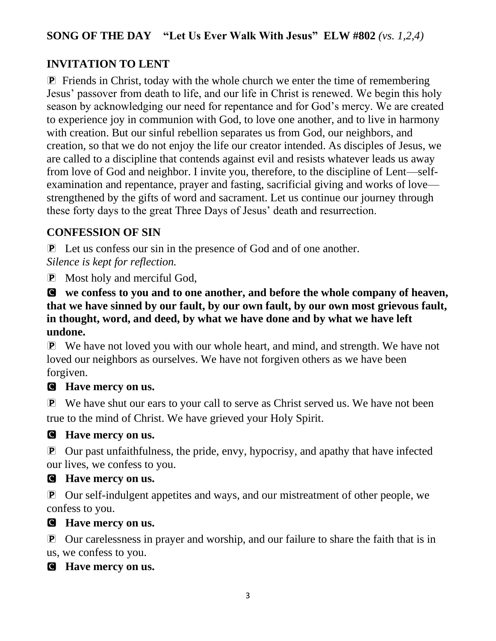## **SONG OF THE DAY "Let Us Ever Walk With Jesus" ELW #802** *(vs. 1,2,4)*

## **INVITATION TO LENT**

P Friends in Christ, today with the whole church we enter the time of remembering Jesus' passover from death to life, and our life in Christ is renewed. We begin this holy season by acknowledging our need for repentance and for God's mercy. We are created to experience joy in communion with God, to love one another, and to live in harmony with creation. But our sinful rebellion separates us from God, our neighbors, and creation, so that we do not enjoy the life our creator intended. As disciples of Jesus, we are called to a discipline that contends against evil and resists whatever leads us away from love of God and neighbor. I invite you, therefore, to the discipline of Lent—selfexamination and repentance, prayer and fasting, sacrificial giving and works of love strengthened by the gifts of word and sacrament. Let us continue our journey through these forty days to the great Three Days of Jesus' death and resurrection.

## **CONFESSION OF SIN**

P Let us confess our sin in the presence of God and of one another. *Silence is kept for reflection.*

P Most holy and merciful God,

C **we confess to you and to one another, and before the whole company of heaven, that we have sinned by our fault, by our own fault, by our own most grievous fault, in thought, word, and deed, by what we have done and by what we have left undone.**

P We have not loved you with our whole heart, and mind, and strength. We have not loved our neighbors as ourselves. We have not forgiven others as we have been forgiven.

### C **Have mercy on us.**

P We have shut our ears to your call to serve as Christ served us. We have not been true to the mind of Christ. We have grieved your Holy Spirit.

### C **Have mercy on us.**

P Our past unfaithfulness, the pride, envy, hypocrisy, and apathy that have infected our lives, we confess to you.

### C **Have mercy on us.**

P Our self-indulgent appetites and ways, and our mistreatment of other people, we confess to you.

#### C **Have mercy on us.**

P Our carelessness in prayer and worship, and our failure to share the faith that is in us, we confess to you.

### C **Have mercy on us.**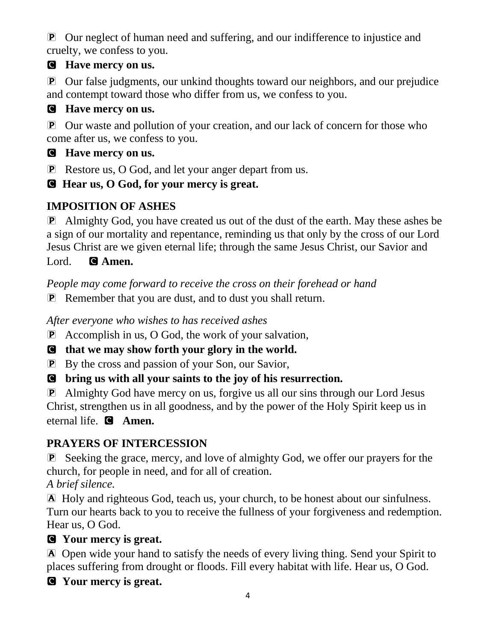P Our neglect of human need and suffering, and our indifference to injustice and cruelty, we confess to you.

## C **Have mercy on us.**

P Our false judgments, our unkind thoughts toward our neighbors, and our prejudice and contempt toward those who differ from us, we confess to you.

## C **Have mercy on us.**

P Our waste and pollution of your creation, and our lack of concern for those who come after us, we confess to you.

## C **Have mercy on us.**

P Restore us, O God, and let your anger depart from us.

C **Hear us, O God, for your mercy is great.**

# **IMPOSITION OF ASHES**

P Almighty God, you have created us out of the dust of the earth. May these ashes be a sign of our mortality and repentance, reminding us that only by the cross of our Lord Jesus Christ are we given eternal life; through the same Jesus Christ, our Savior and

Lord. **G** Amen.

*People may come forward to receive the cross on their forehead or hand*

P Remember that you are dust, and to dust you shall return.

*After everyone who wishes to has received ashes*

P Accomplish in us, O God, the work of your salvation,

C **that we may show forth your glory in the world.**

P By the cross and passion of your Son, our Savior,

C **bring us with all your saints to the joy of his resurrection.**

PAlmighty God have mercy on us, forgive us all our sins through our Lord Jesus Christ, strengthen us in all goodness, and by the power of the Holy Spirit keep us in eternal life. C **Amen.**

# **PRAYERS OF INTERCESSION**

P Seeking the grace, mercy, and love of almighty God, we offer our prayers for the church, for people in need, and for all of creation.

*A brief silence.*

A Holy and righteous God, teach us, your church, to be honest about our sinfulness. Turn our hearts back to you to receive the fullness of your forgiveness and redemption. Hear us, O God.

# C **Your mercy is great.**

A Open wide your hand to satisfy the needs of every living thing. Send your Spirit to places suffering from drought or floods. Fill every habitat with life. Hear us, O God.

# C **Your mercy is great.**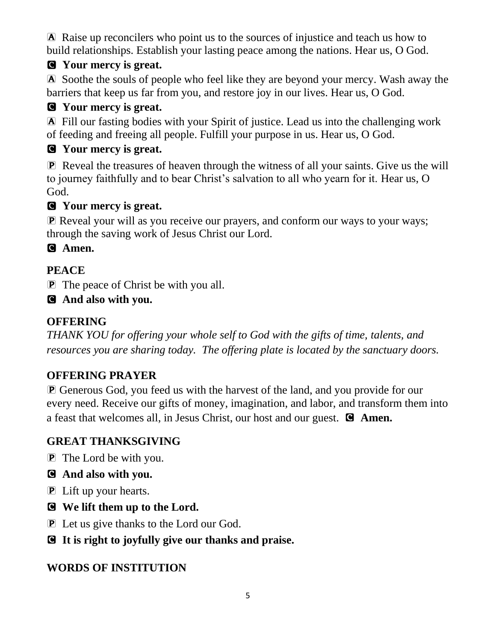A Raise up reconcilers who point us to the sources of injustice and teach us how to build relationships. Establish your lasting peace among the nations. Hear us, O God.

# C **Your mercy is great.**

A Soothe the souls of people who feel like they are beyond your mercy. Wash away the barriers that keep us far from you, and restore joy in our lives. Hear us, O God.

## C **Your mercy is great.**

A Fill our fasting bodies with your Spirit of justice. Lead us into the challenging work of feeding and freeing all people. Fulfill your purpose in us. Hear us, O God.

## C **Your mercy is great.**

P Reveal the treasures of heaven through the witness of all your saints. Give us the will to journey faithfully and to bear Christ's salvation to all who yearn for it. Hear us, O God.

## C **Your mercy is great.**

P Reveal your will as you receive our prayers, and conform our ways to your ways; through the saving work of Jesus Christ our Lord.

## C **Amen.**

## **PEACE**

P The peace of Christ be with you all.

### C **And also with you.**

## **OFFERING**

*THANK YOU for offering your whole self to God with the gifts of time, talents, and resources you are sharing today. The offering plate is located by the sanctuary doors.*

## **OFFERING PRAYER**

P Generous God, you feed us with the harvest of the land, and you provide for our every need. Receive our gifts of money, imagination, and labor, and transform them into a feast that welcomes all, in Jesus Christ, our host and our guest. C **Amen.**

## **GREAT THANKSGIVING**

PThe Lord be with you.

### C **And also with you.**

- P Lift up your hearts.
- C **We lift them up to the Lord.**
- P Let us give thanks to the Lord our God.
- C **It is right to joyfully give our thanks and praise.**

## **WORDS OF INSTITUTION**